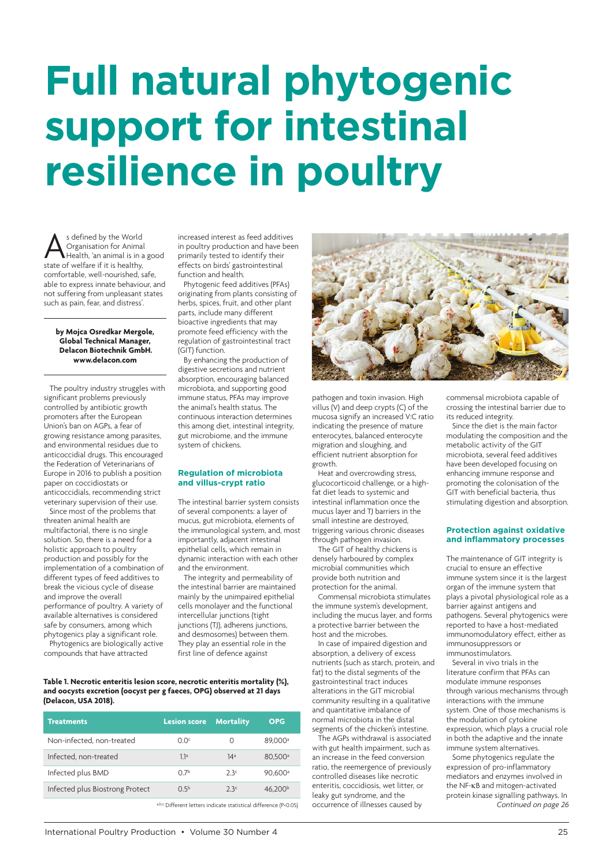# **Full natural phytogenic support for intestinal resilience in poultry**

s defined by the World<br>Organisation for Anima<br>State of welfare if it is healthy, Organisation for Animal Health, 'an animal is in a good comfortable, well-nourished, safe, able to express innate behaviour, and not suffering from unpleasant states such as pain, fear, and distress'.

#### **by Mojca Osredkar Mergole, Global Technical Manager, Delacon Biotechnik GmbH. [www.delacon.com](http://www.delacon.com)**

The poultry industry struggles with significant problems previously controlled by antibiotic growth promoters after the European Union's ban on AGPs, a fear of growing resistance among parasites, and environmental residues due to anticoccidial drugs. This encouraged the Federation of Veterinarians of Europe in 2016 to publish a position paper on coccidiostats or anticoccidials, recommending strict veterinary supervision of their use.

Since most of the problems that threaten animal health are multifactorial, there is no single solution. So, there is a need for a holistic approach to poultry production and possibly for the implementation of a combination of different types of feed additives to break the vicious cycle of disease and improve the overall performance of poultry. A variety of available alternatives is considered safe by consumers, among which phytogenics play a significant role.

Phytogenics are biologically active compounds that have attracted

increased interest as feed additives in poultry production and have been primarily tested to identify their effects on birds' gastrointestinal function and health.

Phytogenic feed additives (PFAs) originating from plants consisting of herbs, spices, fruit, and other plant parts, include many different bioactive ingredients that may promote feed efficiency with the regulation of gastrointestinal tract (GIT) function.

By enhancing the production of digestive secretions and nutrient absorption, encouraging balanced microbiota, and supporting good immune status, PFAs may improve the animal's health status. The continuous interaction determines this among diet, intestinal integrity, gut microbiome, and the immune system of chickens.

#### **Regulation of microbiota and villus-crypt ratio**

The intestinal barrier system consists of several components: a layer of mucus, gut microbiota, elements of the immunological system, and, most importantly, adjacent intestinal epithelial cells, which remain in dynamic interaction with each other and the environment.

The integrity and permeability of the intestinal barrier are maintained mainly by the unimpaired epithelial cells monolayer and the functional intercellular junctions (tight junctions (TJ), adherens junctions, and desmosomes) between them. They play an essential role in the first line of defence against



| <b>Treatments</b>               | <b>Lesion score</b> | <b>Mortality</b> | <b>OPG</b>          |
|---------------------------------|---------------------|------------------|---------------------|
| Non-infected, non-treated       | O Oc                | Ω                | 89.000 <sup>a</sup> |
| Infected, non-treated           | 1.1a                | 14 <sup>a</sup>  | 80.500 <sup>a</sup> |
| Infected plus BMD               | 07 <sup>b</sup>     | 2.3c             | 90.600 <sup>a</sup> |
| Infected plus Biostrong Protect | 0.5 <sup>b</sup>    | 23c              | 46.200 <sup>b</sup> |
|                                 |                     |                  |                     |

a,b,c Different letters indicate statistical difference (P<0.05)



pathogen and toxin invasion. High villus (V) and deep crypts (C) of the mucosa signify an increased V:C ratio indicating the presence of mature enterocytes, balanced enterocyte migration and sloughing, and efficient nutrient absorption for growth.

Heat and overcrowding stress, glucocorticoid challenge, or a highfat diet leads to systemic and intestinal inflammation once the mucus layer and TJ barriers in the small intestine are destroyed, triggering various chronic diseases through pathogen invasion.

The GIT of healthy chickens is densely harboured by complex microbial communities which provide both nutrition and protection for the animal.

Commensal microbiota stimulates the immune system's development, including the mucus layer, and forms a protective barrier between the host and the microbes.

In case of impaired digestion and absorption, a delivery of excess nutrients (such as starch, protein, and fat) to the distal segments of the gastrointestinal tract induces alterations in the GIT microbial community resulting in a qualitative and quantitative imbalance of normal microbiota in the distal segments of the chicken's intestine.

The AGPs withdrawal is associated with gut health impairment, such as an increase in the feed conversion ratio, the reemergence of previously controlled diseases like necrotic enteritis, coccidiosis, wet litter, or leaky gut syndrome, and the occurrence of illnesses caused by

commensal microbiota capable of crossing the intestinal barrier due to its reduced integrity.

Since the diet is the main factor modulating the composition and the metabolic activity of the GIT microbiota, several feed additives have been developed focusing on enhancing immune response and promoting the colonisation of the GIT with beneficial bacteria, thus stimulating digestion and absorption.

#### **Protection against oxidative and inflammatory processes**

The maintenance of GIT integrity is crucial to ensure an effective immune system since it is the largest organ of the immune system that plays a pivotal physiological role as a barrier against antigens and pathogens. Several phytogenics were reported to have a host-mediated immunomodulatory effect, either as immunosuppressors or immunostimulators.

Several in vivo trials in the literature confirm that PFAs can modulate immune responses through various mechanisms through interactions with the immune system. One of those mechanisms is the modulation of cytokine expression, which plays a crucial role in both the adaptive and the innate immune system alternatives.

Some phytogenics regulate the expression of pro-inflammatory mediators and enzymes involved in the NF-κB and mitogen-activated protein kinase signalling pathways. In *Continued on page 26*